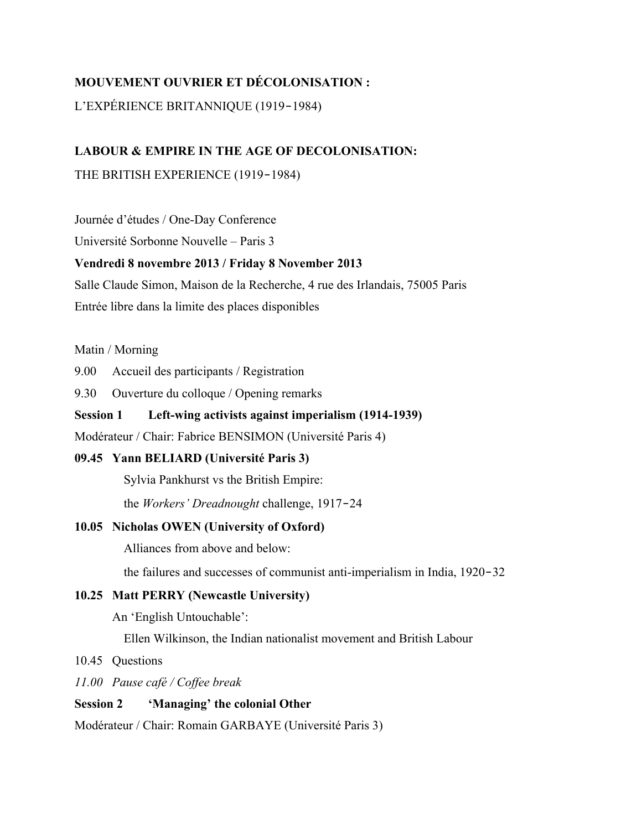# **MOUVEMENT OUVRIER ET DÉCOLONISATION :**

# L'EXPÉRIENCE BRITANNIQUE (1919‑1984)

# **LABOUR & EMPIRE IN THE AGE OF DECOLONISATION:**

THE BRITISH EXPERIENCE (1919-1984)

Journée d'études / One-Day Conference

Université Sorbonne Nouvelle – Paris 3

# **Vendredi 8 novembre 2013 / Friday 8 November 2013**

Salle Claude Simon, Maison de la Recherche, 4 rue des Irlandais, 75005 Paris Entrée libre dans la limite des places disponibles

## Matin / Morning

9.00 Accueil des participants / Registration

9.30 Ouverture du colloque / Opening remarks

# **Session 1 Left-wing activists against imperialism (1914-1939)**

Modérateur / Chair: Fabrice BENSIMON (Université Paris 4)

## **09.45 Yann BELIARD (Université Paris 3)**

Sylvia Pankhurst vs the British Empire:

the *Workers' Dreadnought* challenge, 1917–24

# **10.05 Nicholas OWEN (University of Oxford)**

Alliances from above and below:

the failures and successes of communist anti-imperialism in India, 1920–32

# **10.25 Matt PERRY (Newcastle University)**

An 'English Untouchable':

Ellen Wilkinson, the Indian nationalist movement and British Labour

## 10.45 Questions

*11.00 Pause café / Coffee break*

## **Session 2 'Managing' the colonial Other**

Modérateur / Chair: Romain GARBAYE (Université Paris 3)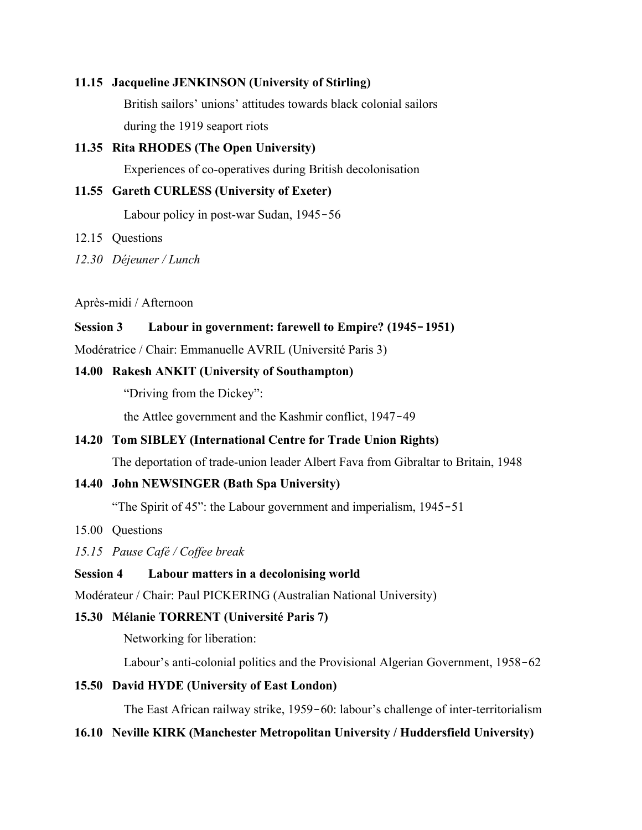## **11.15 Jacqueline JENKINSON (University of Stirling)**

British sailors' unions' attitudes towards black colonial sailors during the 1919 seaport riots

#### **11.35 Rita RHODES (The Open University)**

Experiences of co-operatives during British decolonisation

### **11.55 Gareth CURLESS (University of Exeter)**

Labour policy in post-war Sudan, 1945–56

12.15 Questions

*12.30 Déjeuner / Lunch*

Après-midi / Afternoon

#### **Session 3 Labour in government: farewell to Empire? (1945**‑**1951)**

Modératrice / Chair: Emmanuelle AVRIL (Université Paris 3)

## **14.00 Rakesh ANKIT (University of Southampton)**

"Driving from the Dickey":

the Attlee government and the Kashmir conflict, 1947‑49

## **14.20 Tom SIBLEY (International Centre for Trade Union Rights)**

The deportation of trade-union leader Albert Fava from Gibraltar to Britain, 1948

## **14.40 John NEWSINGER (Bath Spa University)**

"The Spirit of 45": the Labour government and imperialism, 1945–51

15.00 Questions

*15.15 Pause Café / Coffee break*

## **Session 4 Labour matters in a decolonising world**

Modérateur / Chair: Paul PICKERING (Australian National University)

## **15.30 Mélanie TORRENT (Université Paris 7)**

Networking for liberation:

Labour's anti-colonial politics and the Provisional Algerian Government, 1958–62

## **15.50 David HYDE (University of East London)**

The East African railway strike, 1959–60: labour's challenge of inter-territorialism

## **16.10 Neville KIRK (Manchester Metropolitan University / Huddersfield University)**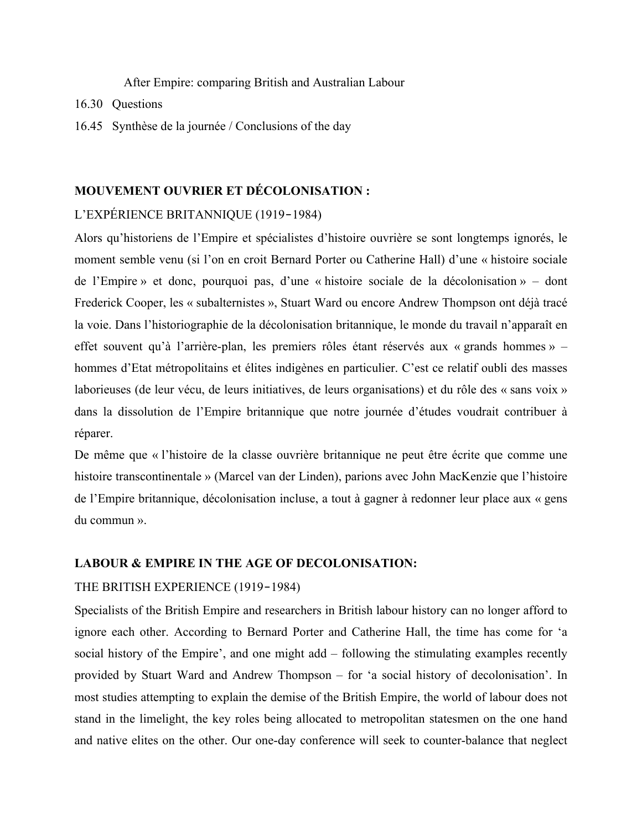After Empire: comparing British and Australian Labour

- 16.30 Questions
- 16.45 Synthèse de la journée / Conclusions of the day

## **MOUVEMENT OUVRIER ET DÉCOLONISATION :**

## L'EXPÉRIENCE BRITANNIQUE (1919‑1984)

Alors qu'historiens de l'Empire et spécialistes d'histoire ouvrière se sont longtemps ignorés, le moment semble venu (si l'on en croit Bernard Porter ou Catherine Hall) d'une « histoire sociale de l'Empire » et donc, pourquoi pas, d'une « histoire sociale de la décolonisation » – dont Frederick Cooper, les « subalternistes », Stuart Ward ou encore Andrew Thompson ont déjà tracé la voie. Dans l'historiographie de la décolonisation britannique, le monde du travail n'apparaît en effet souvent qu'à l'arrière-plan, les premiers rôles étant réservés aux « grands hommes » – hommes d'Etat métropolitains et élites indigènes en particulier. C'est ce relatif oubli des masses laborieuses (de leur vécu, de leurs initiatives, de leurs organisations) et du rôle des « sans voix » dans la dissolution de l'Empire britannique que notre journée d'études voudrait contribuer à réparer.

De même que « l'histoire de la classe ouvrière britannique ne peut être écrite que comme une histoire transcontinentale » (Marcel van der Linden), parions avec John MacKenzie que l'histoire de l'Empire britannique, décolonisation incluse, a tout à gagner à redonner leur place aux « gens du commun ».

#### **LABOUR & EMPIRE IN THE AGE OF DECOLONISATION:**

#### THE BRITISH EXPERIENCE (1919-1984)

Specialists of the British Empire and researchers in British labour history can no longer afford to ignore each other. According to Bernard Porter and Catherine Hall, the time has come for 'a social history of the Empire', and one might add – following the stimulating examples recently provided by Stuart Ward and Andrew Thompson – for 'a social history of decolonisation'. In most studies attempting to explain the demise of the British Empire, the world of labour does not stand in the limelight, the key roles being allocated to metropolitan statesmen on the one hand and native elites on the other. Our one-day conference will seek to counter-balance that neglect